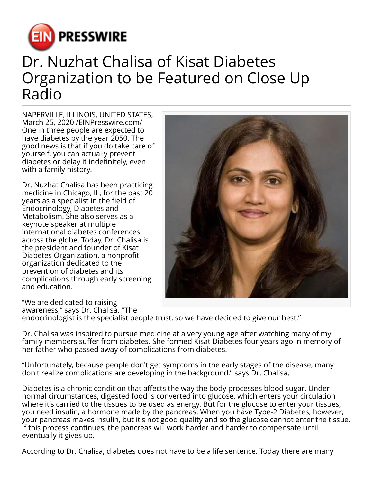

## Dr. Nuzhat Chalisa of Kisat Diabetes Organization to be Featured on Close Up Radio

NAPERVILLE, ILLINOIS, UNITED STATES, March 25, 2020 /[EINPresswire.com](http://www.einpresswire.com)/ -- One in three people are expected to have diabetes by the year 2050. The good news is that if you do take care of yourself, you can actually prevent diabetes or delay it indefinitely, even with a family history.

Dr. Nuzhat Chalisa has been practicing medicine in Chicago, IL, for the past 20 years as a specialist in the field of Endocrinology, Diabetes and Metabolism. She also serves as a keynote speaker at multiple international diabetes conferences across the globe. Today, Dr. Chalisa is the president and founder of Kisat Diabetes Organization, a nonprofit organization dedicated to the prevention of diabetes and its complications through early screening and education.



"We are dedicated to raising awareness," says Dr. Chalisa. "The

endocrinologist is the specialist people trust, so we have decided to give our best."

Dr. Chalisa was inspired to pursue medicine at a very young age after watching many of my family members suffer from diabetes. She formed Kisat Diabetes four years ago in memory of her father who passed away of complications from diabetes.

"Unfortunately, because people don't get symptoms in the early stages of the disease, many don't realize complications are developing in the background," says Dr. Chalisa.

Diabetes is a chronic condition that affects the way the body processes blood sugar. Under normal circumstances, digested food is converted into glucose, which enters your circulation where it's carried to the tissues to be used as energy. But for the glucose to enter your tissues, you need insulin, a hormone made by the pancreas. When you have Type-2 Diabetes, however, your pancreas makes insulin, but it's not good quality and so the glucose cannot enter the tissue. If this process continues, the pancreas will work harder and harder to compensate until eventually it gives up.

According to Dr. Chalisa, diabetes does not have to be a life sentence. Today there are many